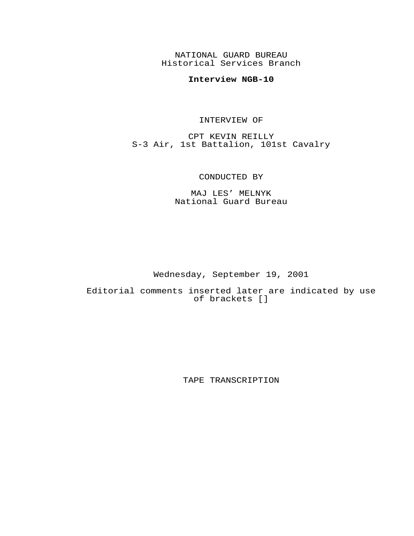NATIONAL GUARD BUREAU Historical Services Branch

## **Interview NGB-10**

## INTERVIEW OF

CPT KEVIN REILLY S-3 Air, 1st Battalion, 101st Cavalry

## CONDUCTED BY

MAJ LES' MELNYK National Guard Bureau

Wednesday, September 19, 2001

Editorial comments inserted later are indicated by use of brackets []

TAPE TRANSCRIPTION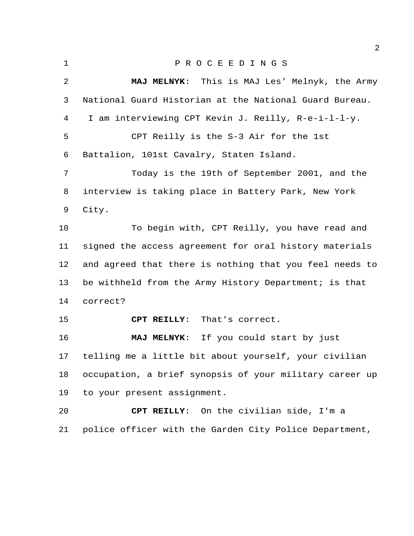| $\mathbf{1}$ | PROCEEDINGS                                             |
|--------------|---------------------------------------------------------|
| 2            | MAJ MELNYK: This is MAJ Les' Melnyk, the Army           |
| 3            | National Guard Historian at the National Guard Bureau.  |
| 4            | I am interviewing CPT Kevin J. Reilly, R-e-i-l-l-y.     |
| 5            | CPT Reilly is the S-3 Air for the 1st                   |
| 6            | Battalion, 101st Cavalry, Staten Island.                |
| 7            | Today is the 19th of September 2001, and the            |
| 8            | interview is taking place in Battery Park, New York     |
| 9            | City.                                                   |
| 10           | To begin with, CPT Reilly, you have read and            |
| 11           | signed the access agreement for oral history materials  |
| 12           | and agreed that there is nothing that you feel needs to |
| 13           | be withheld from the Army History Department; is that   |
| 14           | correct?                                                |
| 15           | CPT REILLY: That's correct.                             |
| 16           | MAJ MELNYK: If you could start by just                  |
| 17           | telling me a little bit about yourself, your civilian   |
| 18           | occupation, a brief synopsis of your military career up |
| 19           | to your present assignment.                             |
| 20           | CPT REILLY: On the civilian side, I'm a                 |
| 21           | police officer with the Garden City Police Department,  |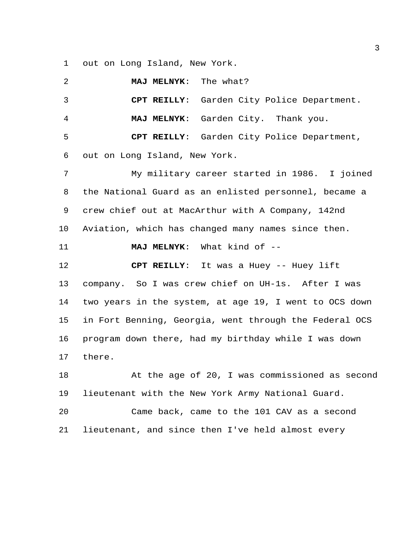out on Long Island, New York.

| 2  | The what?<br><b>MAJ MELNYK:</b>                        |
|----|--------------------------------------------------------|
| 3  | CPT REILLY:<br>Garden City Police Department.          |
| 4  | Garden City. Thank you.<br><b>MAJ MELNYK:</b>          |
| 5  | CPT REILLY: Garden City Police Department,             |
| 6  | out on Long Island, New York.                          |
| 7  | My military career started in 1986. I joined           |
| 8  | the National Guard as an enlisted personnel, became a  |
| 9  | crew chief out at MacArthur with A Company, 142nd      |
| 10 | Aviation, which has changed many names since then.     |
| 11 | What kind of --<br><b>MAJ MELNYK:</b>                  |
|    |                                                        |
| 12 | CPT REILLY: It was a Huey -- Huey lift                 |
| 13 | company. So I was crew chief on UH-1s. After I was     |
| 14 | two years in the system, at age 19, I went to OCS down |
| 15 | in Fort Benning, Georgia, went through the Federal OCS |
| 16 | program down there, had my birthday while I was down   |
| 17 | there.                                                 |
| 18 | At the age of 20, I was commissioned as second         |
| 19 | lieutenant with the New York Army National Guard.      |
| 20 | Came back, came to the 101 CAV as a second             |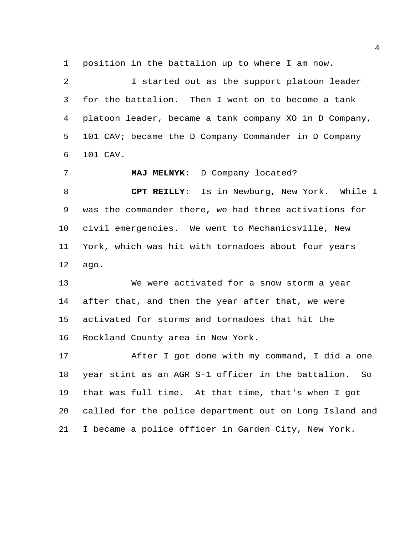position in the battalion up to where I am now.

 I started out as the support platoon leader for the battalion. Then I went on to become a tank platoon leader, became a tank company XO in D Company, 101 CAV; became the D Company Commander in D Company 101 CAV.

 **MAJ MELNYK**: D Company located? **CPT REILLY**: Is in Newburg, New York. While I was the commander there, we had three activations for civil emergencies. We went to Mechanicsville, New York, which was hit with tornadoes about four years ago.

 We were activated for a snow storm a year after that, and then the year after that, we were activated for storms and tornadoes that hit the Rockland County area in New York.

 After I got done with my command, I did a one year stint as an AGR S-1 officer in the battalion. So that was full time. At that time, that's when I got called for the police department out on Long Island and I became a police officer in Garden City, New York.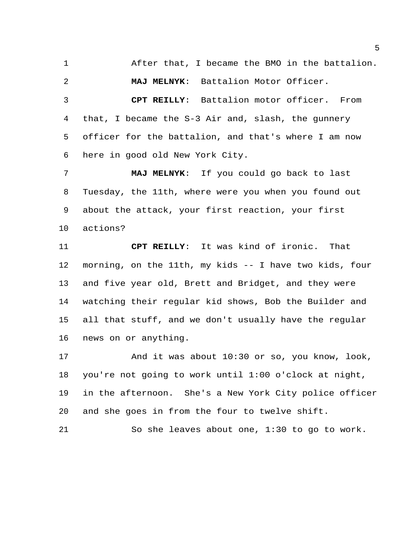After that, I became the BMO in the battalion.

**MAJ MELNYK**: Battalion Motor Officer.

 **CPT REILLY**: Battalion motor officer. From that, I became the S-3 Air and, slash, the gunnery officer for the battalion, and that's where I am now here in good old New York City.

 **MAJ MELNYK**: If you could go back to last Tuesday, the 11th, where were you when you found out about the attack, your first reaction, your first actions?

 **CPT REILLY**: It was kind of ironic. That morning, on the 11th, my kids -- I have two kids, four and five year old, Brett and Bridget, and they were watching their regular kid shows, Bob the Builder and all that stuff, and we don't usually have the regular news on or anything.

 And it was about 10:30 or so, you know, look, you're not going to work until 1:00 o'clock at night, in the afternoon. She's a New York City police officer and she goes in from the four to twelve shift.

So she leaves about one, 1:30 to go to work.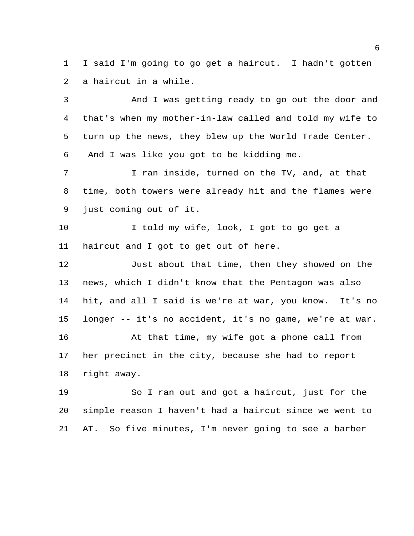I said I'm going to go get a haircut. I hadn't gotten a haircut in a while.

 And I was getting ready to go out the door and that's when my mother-in-law called and told my wife to turn up the news, they blew up the World Trade Center. And I was like you got to be kidding me.

 I ran inside, turned on the TV, and, at that time, both towers were already hit and the flames were just coming out of it.

 I told my wife, look, I got to go get a haircut and I got to get out of here.

 Just about that time, then they showed on the news, which I didn't know that the Pentagon was also hit, and all I said is we're at war, you know. It's no longer -- it's no accident, it's no game, we're at war. 16 At that time, my wife got a phone call from her precinct in the city, because she had to report right away.

 So I ran out and got a haircut, just for the simple reason I haven't had a haircut since we went to AT. So five minutes, I'm never going to see a barber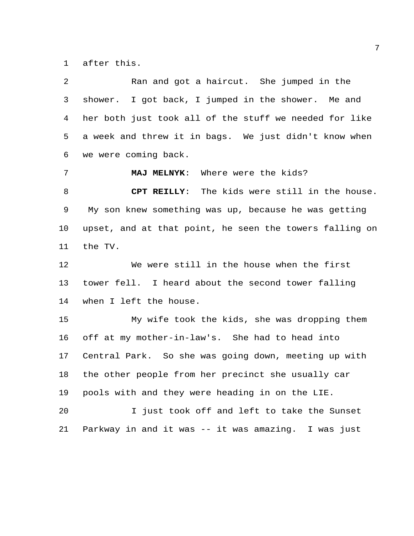after this.

 Ran and got a haircut. She jumped in the shower. I got back, I jumped in the shower. Me and her both just took all of the stuff we needed for like a week and threw it in bags. We just didn't know when we were coming back. **MAJ MELNYK**: Where were the kids? **CPT REILLY**: The kids were still in the house. My son knew something was up, because he was getting upset, and at that point, he seen the towers falling on the TV. We were still in the house when the first tower fell. I heard about the second tower falling when I left the house. My wife took the kids, she was dropping them off at my mother-in-law's. She had to head into Central Park. So she was going down, meeting up with the other people from her precinct she usually car pools with and they were heading in on the LIE. I just took off and left to take the Sunset Parkway in and it was -- it was amazing. I was just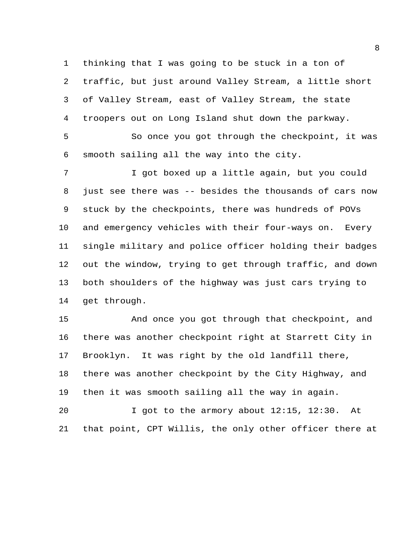thinking that I was going to be stuck in a ton of traffic, but just around Valley Stream, a little short of Valley Stream, east of Valley Stream, the state troopers out on Long Island shut down the parkway.

 So once you got through the checkpoint, it was smooth sailing all the way into the city.

 I got boxed up a little again, but you could just see there was -- besides the thousands of cars now stuck by the checkpoints, there was hundreds of POVs and emergency vehicles with their four-ways on. Every single military and police officer holding their badges out the window, trying to get through traffic, and down both shoulders of the highway was just cars trying to get through.

 And once you got through that checkpoint, and there was another checkpoint right at Starrett City in Brooklyn. It was right by the old landfill there, there was another checkpoint by the City Highway, and then it was smooth sailing all the way in again.

 I got to the armory about 12:15, 12:30. At that point, CPT Willis, the only other officer there at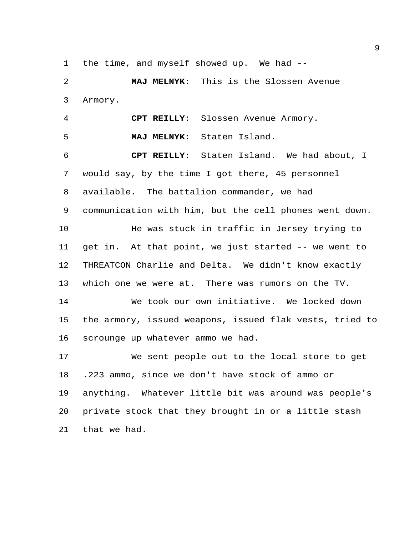the time, and myself showed up. We had --

 **MAJ MELNYK**: This is the Slossen Avenue Armory.

 **CPT REILLY**: Slossen Avenue Armory. **MAJ MELNYK**: Staten Island. **CPT REILLY**: Staten Island. We had about, I would say, by the time I got there, 45 personnel available. The battalion commander, we had communication with him, but the cell phones went down. He was stuck in traffic in Jersey trying to get in. At that point, we just started -- we went to THREATCON Charlie and Delta. We didn't know exactly which one we were at. There was rumors on the TV. We took our own initiative. We locked down the armory, issued weapons, issued flak vests, tried to scrounge up whatever ammo we had. We sent people out to the local store to get

 .223 ammo, since we don't have stock of ammo or anything. Whatever little bit was around was people's private stock that they brought in or a little stash that we had.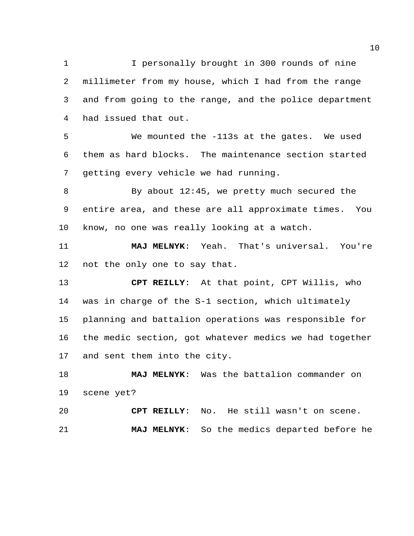I personally brought in 300 rounds of nine millimeter from my house, which I had from the range and from going to the range, and the police department had issued that out.

 We mounted the -113s at the gates. We used them as hard blocks. The maintenance section started getting every vehicle we had running.

 By about 12:45, we pretty much secured the entire area, and these are all approximate times. You know, no one was really looking at a watch.

 **MAJ MELNYK**: Yeah. That's universal. You're not the only one to say that.

 **CPT REILLY**: At that point, CPT Willis, who was in charge of the S-1 section, which ultimately planning and battalion operations was responsible for the medic section, got whatever medics we had together and sent them into the city.

 **MAJ MELNYK**: Was the battalion commander on scene yet?

 **CPT REILLY**: No. He still wasn't on scene. **MAJ MELNYK**: So the medics departed before he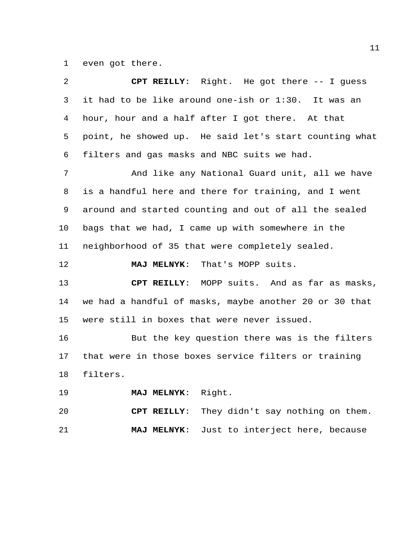even got there.

| $\overline{2}$ | CPT REILLY: Right. He got there -- I guess             |
|----------------|--------------------------------------------------------|
| 3              | it had to be like around one-ish or 1:30. It was an    |
| 4              | hour, hour and a half after I got there. At that       |
| 5              | point, he showed up. He said let's start counting what |
| 6              | filters and gas masks and NBC suits we had.            |
| 7              | And like any National Guard unit, all we have          |
| 8              | is a handful here and there for training, and I went   |
| 9              | around and started counting and out of all the sealed  |
| $10 \,$        | bags that we had, I came up with somewhere in the      |
| 11             | neighborhood of 35 that were completely sealed.        |
| 12             | That's MOPP suits.<br><b>MAJ MELNYK:</b>               |
| 13             | CPT REILLY: MOPP suits. And as far as masks,           |
| 14             | we had a handful of masks, maybe another 20 or 30 that |
| 15             | were still in boxes that were never issued.            |
| 16             | But the key question there was is the filters          |
| 17             | that were in those boxes service filters or training   |
| 18             | filters.                                               |
| 19             | MAJ MELNYK: Right.                                     |
| 20             | CPT REILLY: They didn't say nothing on them.           |
| 21             | Just to interject here, because<br><b>MAJ MELNYK:</b>  |
|                |                                                        |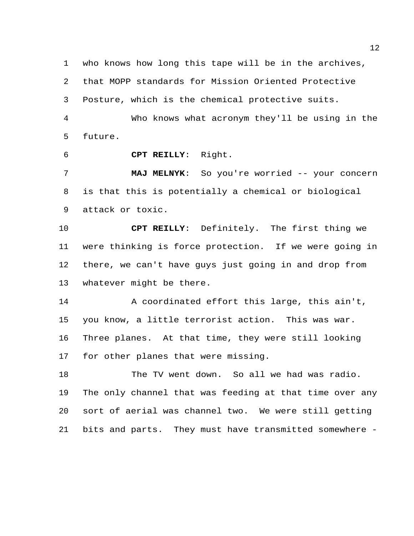who knows how long this tape will be in the archives, that MOPP standards for Mission Oriented Protective

Posture, which is the chemical protective suits.

 Who knows what acronym they'll be using in the future.

**CPT REILLY**: Right.

 **MAJ MELNYK**: So you're worried -- your concern is that this is potentially a chemical or biological attack or toxic.

 **CPT REILLY**: Definitely. The first thing we were thinking is force protection. If we were going in there, we can't have guys just going in and drop from whatever might be there.

 A coordinated effort this large, this ain't, you know, a little terrorist action. This was war. Three planes. At that time, they were still looking for other planes that were missing.

 The TV went down. So all we had was radio. The only channel that was feeding at that time over any sort of aerial was channel two. We were still getting bits and parts. They must have transmitted somewhere -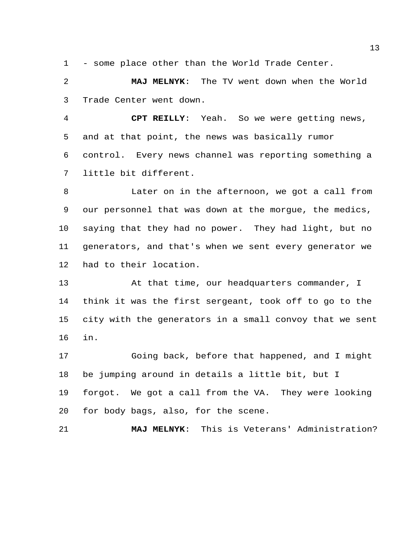- some place other than the World Trade Center.

 **MAJ MELNYK**: The TV went down when the World Trade Center went down.

 **CPT REILLY**: Yeah. So we were getting news, and at that point, the news was basically rumor control. Every news channel was reporting something a little bit different.

 Later on in the afternoon, we got a call from our personnel that was down at the morgue, the medics, saying that they had no power. They had light, but no generators, and that's when we sent every generator we had to their location.

 At that time, our headquarters commander, I think it was the first sergeant, took off to go to the city with the generators in a small convoy that we sent in.

 Going back, before that happened, and I might be jumping around in details a little bit, but I forgot. We got a call from the VA. They were looking for body bags, also, for the scene.

**MAJ MELNYK**: This is Veterans' Administration?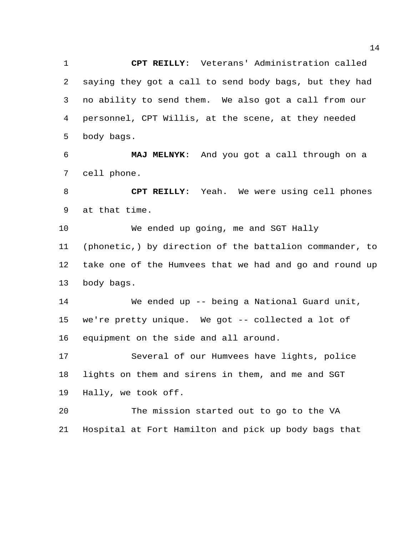**CPT REILLY**: Veterans' Administration called saying they got a call to send body bags, but they had no ability to send them. We also got a call from our personnel, CPT Willis, at the scene, at they needed body bags.

 **MAJ MELNYK**: And you got a call through on a cell phone.

 **CPT REILLY**: Yeah. We were using cell phones at that time.

 We ended up going, me and SGT Hally (phonetic,) by direction of the battalion commander, to take one of the Humvees that we had and go and round up body bags.

 We ended up -- being a National Guard unit, we're pretty unique. We got -- collected a lot of equipment on the side and all around.

 Several of our Humvees have lights, police lights on them and sirens in them, and me and SGT Hally, we took off.

 The mission started out to go to the VA Hospital at Fort Hamilton and pick up body bags that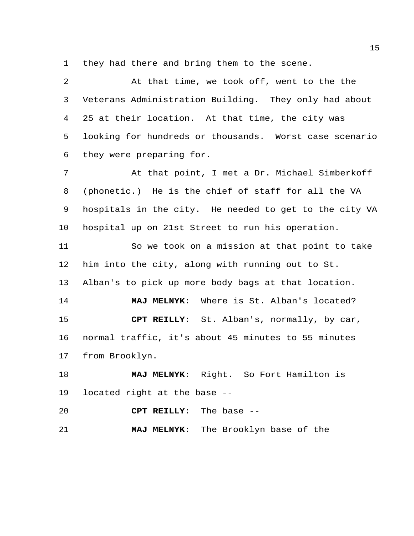they had there and bring them to the scene.

 At that time, we took off, went to the the Veterans Administration Building. They only had about 25 at their location. At that time, the city was looking for hundreds or thousands. Worst case scenario they were preparing for. At that point, I met a Dr. Michael Simberkoff (phonetic.) He is the chief of staff for all the VA hospitals in the city. He needed to get to the city VA hospital up on 21st Street to run his operation. So we took on a mission at that point to take him into the city, along with running out to St. Alban's to pick up more body bags at that location. **MAJ MELNYK**: Where is St. Alban's located? **CPT REILLY**: St. Alban's, normally, by car, normal traffic, it's about 45 minutes to 55 minutes from Brooklyn.

 **MAJ MELNYK**: Right. So Fort Hamilton is located right at the base --

**CPT REILLY**: The base --

**MAJ MELNYK**: The Brooklyn base of the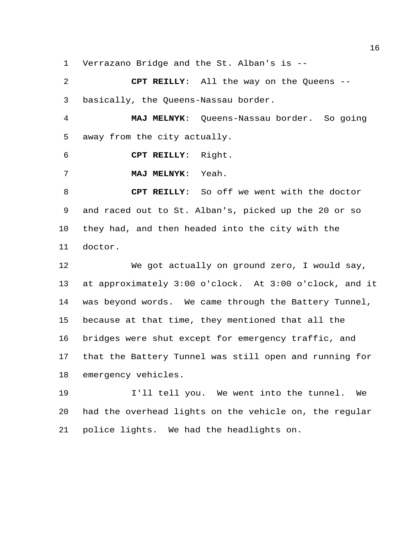Verrazano Bridge and the St. Alban's is --

 **CPT REILLY**: All the way on the Queens -- basically, the Queens-Nassau border.

 **MAJ MELNYK**: Queens-Nassau border. So going away from the city actually.

**CPT REILLY**: Right.

**MAJ MELNYK**: Yeah.

 **CPT REILLY**: So off we went with the doctor and raced out to St. Alban's, picked up the 20 or so they had, and then headed into the city with the doctor.

 We got actually on ground zero, I would say, at approximately 3:00 o'clock. At 3:00 o'clock, and it was beyond words. We came through the Battery Tunnel, because at that time, they mentioned that all the bridges were shut except for emergency traffic, and that the Battery Tunnel was still open and running for emergency vehicles.

 I'll tell you. We went into the tunnel. We had the overhead lights on the vehicle on, the regular police lights. We had the headlights on.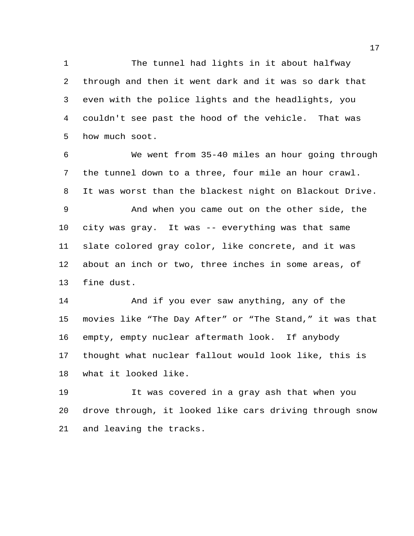1 The tunnel had lights in it about halfway through and then it went dark and it was so dark that even with the police lights and the headlights, you couldn't see past the hood of the vehicle. That was how much soot.

 We went from 35-40 miles an hour going through the tunnel down to a three, four mile an hour crawl. It was worst than the blackest night on Blackout Drive. And when you came out on the other side, the city was gray. It was -- everything was that same slate colored gray color, like concrete, and it was about an inch or two, three inches in some areas, of fine dust.

 And if you ever saw anything, any of the movies like "The Day After" or "The Stand," it was that empty, empty nuclear aftermath look. If anybody thought what nuclear fallout would look like, this is what it looked like.

 It was covered in a gray ash that when you drove through, it looked like cars driving through snow and leaving the tracks.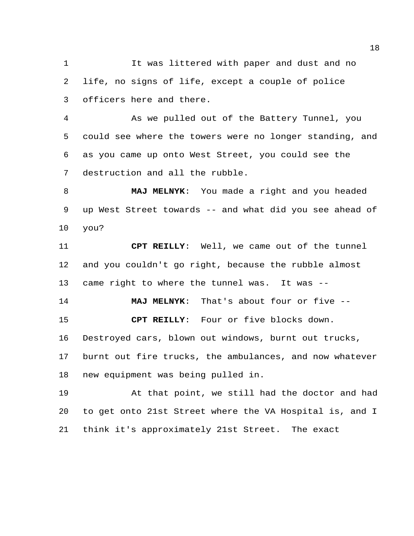1 It was littered with paper and dust and no life, no signs of life, except a couple of police officers here and there.

 As we pulled out of the Battery Tunnel, you could see where the towers were no longer standing, and as you came up onto West Street, you could see the destruction and all the rubble.

 **MAJ MELNYK**: You made a right and you headed up West Street towards -- and what did you see ahead of you?

 **CPT REILLY**: Well, we came out of the tunnel and you couldn't go right, because the rubble almost came right to where the tunnel was. It was --

 **MAJ MELNYK**: That's about four or five -- **CPT REILLY**: Four or five blocks down.

Destroyed cars, blown out windows, burnt out trucks,

 burnt out fire trucks, the ambulances, and now whatever new equipment was being pulled in.

 At that point, we still had the doctor and had to get onto 21st Street where the VA Hospital is, and I think it's approximately 21st Street. The exact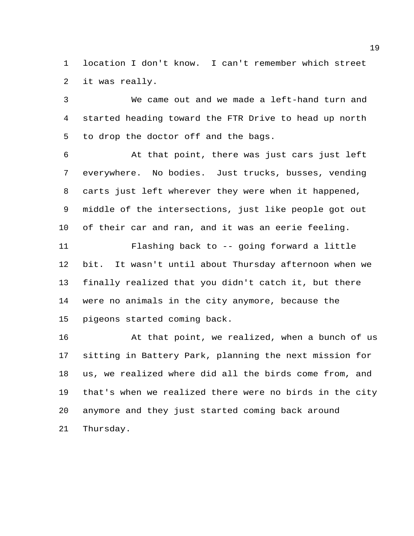location I don't know. I can't remember which street it was really.

 We came out and we made a left-hand turn and started heading toward the FTR Drive to head up north to drop the doctor off and the bags.

 At that point, there was just cars just left everywhere. No bodies. Just trucks, busses, vending carts just left wherever they were when it happened, middle of the intersections, just like people got out of their car and ran, and it was an eerie feeling. Flashing back to -- going forward a little bit. It wasn't until about Thursday afternoon when we finally realized that you didn't catch it, but there were no animals in the city anymore, because the pigeons started coming back.

16 At that point, we realized, when a bunch of us sitting in Battery Park, planning the next mission for us, we realized where did all the birds come from, and that's when we realized there were no birds in the city anymore and they just started coming back around Thursday.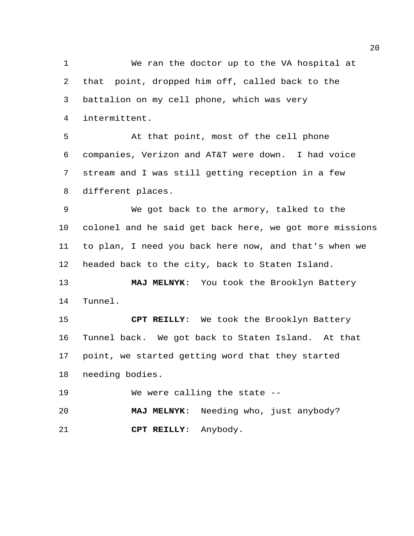We ran the doctor up to the VA hospital at that point, dropped him off, called back to the battalion on my cell phone, which was very intermittent. At that point, most of the cell phone companies, Verizon and AT&T were down. I had voice stream and I was still getting reception in a few different places. We got back to the armory, talked to the colonel and he said get back here, we got more missions to plan, I need you back here now, and that's when we

headed back to the city, back to Staten Island.

 **MAJ MELNYK**: You took the Brooklyn Battery Tunnel.

 **CPT REILLY**: We took the Brooklyn Battery Tunnel back. We got back to Staten Island. At that point, we started getting word that they started needing bodies.

We were calling the state --

 **MAJ MELNYK**: Needing who, just anybody? **CPT REILLY**: Anybody.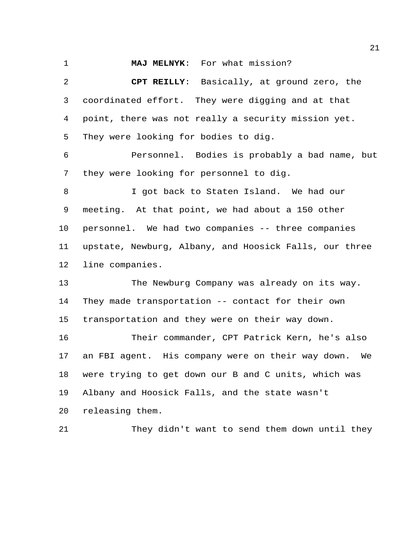**MAJ MELNYK**: For what mission?

 **CPT REILLY**: Basically, at ground zero, the coordinated effort. They were digging and at that point, there was not really a security mission yet. They were looking for bodies to dig. Personnel. Bodies is probably a bad name, but they were looking for personnel to dig. I got back to Staten Island. We had our meeting. At that point, we had about a 150 other personnel. We had two companies -- three companies upstate, Newburg, Albany, and Hoosick Falls, our three line companies. The Newburg Company was already on its way. They made transportation -- contact for their own transportation and they were on their way down. Their commander, CPT Patrick Kern, he's also an FBI agent. His company were on their way down. We were trying to get down our B and C units, which was Albany and Hoosick Falls, and the state wasn't releasing them.

They didn't want to send them down until they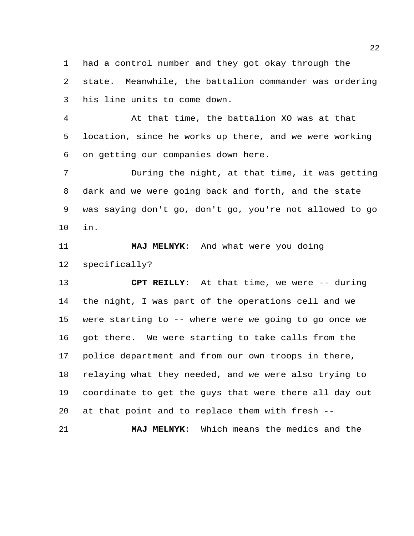had a control number and they got okay through the state. Meanwhile, the battalion commander was ordering his line units to come down.

 At that time, the battalion XO was at that location, since he works up there, and we were working on getting our companies down here.

 During the night, at that time, it was getting dark and we were going back and forth, and the state was saying don't go, don't go, you're not allowed to go in.

 **MAJ MELNYK**: And what were you doing specifically?

 **CPT REILLY**: At that time, we were -- during the night, I was part of the operations cell and we were starting to -- where were we going to go once we got there. We were starting to take calls from the police department and from our own troops in there, relaying what they needed, and we were also trying to coordinate to get the guys that were there all day out at that point and to replace them with fresh --

**MAJ MELNYK**: Which means the medics and the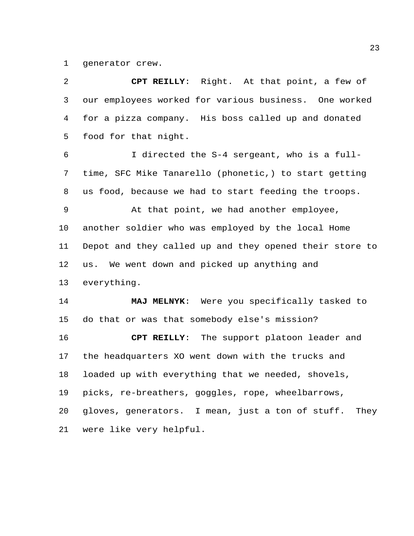generator crew.

| 2           | CPT REILLY: Right. At that point, a few of              |
|-------------|---------------------------------------------------------|
| 3           | our employees worked for various business. One worked   |
| 4           | for a pizza company. His boss called up and donated     |
| 5           | food for that night.                                    |
| 6           | I directed the S-4 sergeant, who is a full-             |
| 7           | time, SFC Mike Tanarello (phonetic,) to start getting   |
| 8           | us food, because we had to start feeding the troops.    |
| $\mathsf 9$ | At that point, we had another employee,                 |
| 10          | another soldier who was employed by the local Home      |
| 11          | Depot and they called up and they opened their store to |
| 12          | us. We went down and picked up anything and             |
| 13          | everything.                                             |
| 14          | MAJ MELNYK: Were you specifically tasked to             |
| 15          | do that or was that somebody else's mission?            |
| 16          | CPT REILLY: The support platoon leader and              |
| 17          | the headquarters XO went down with the trucks and       |
| 18          | loaded up with everything that we needed, shovels,      |
| 19          | picks, re-breathers, goggles, rope, wheelbarrows,       |
| 20          | gloves, generators. I mean, just a ton of stuff. They   |
| 21          | were like very helpful.                                 |
|             |                                                         |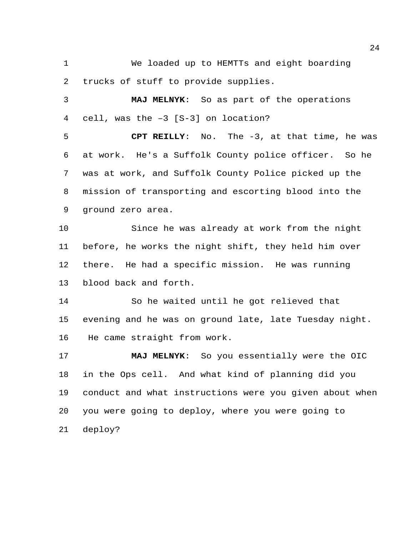We loaded up to HEMTTs and eight boarding trucks of stuff to provide supplies.

 **MAJ MELNYK**: So as part of the operations cell, was the –3 [S-3] on location?

 **CPT REILLY**: No. The -3, at that time, he was at work. He's a Suffolk County police officer. So he was at work, and Suffolk County Police picked up the mission of transporting and escorting blood into the ground zero area.

 Since he was already at work from the night before, he works the night shift, they held him over there. He had a specific mission. He was running blood back and forth.

 So he waited until he got relieved that evening and he was on ground late, late Tuesday night. He came straight from work.

 **MAJ MELNYK**: So you essentially were the OIC in the Ops cell. And what kind of planning did you conduct and what instructions were you given about when you were going to deploy, where you were going to deploy?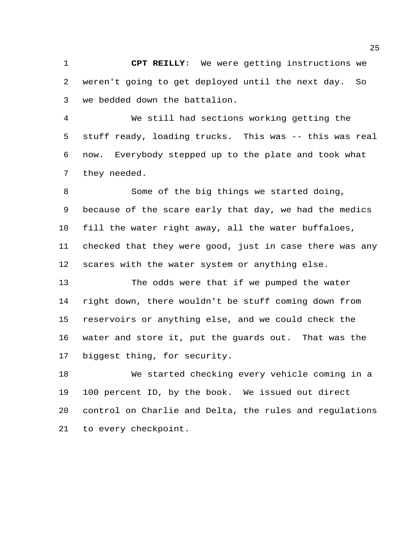**CPT REILLY**: We were getting instructions we weren't going to get deployed until the next day. So we bedded down the battalion.

 We still had sections working getting the stuff ready, loading trucks. This was -- this was real now. Everybody stepped up to the plate and took what they needed.

 Some of the big things we started doing, because of the scare early that day, we had the medics fill the water right away, all the water buffaloes, checked that they were good, just in case there was any scares with the water system or anything else.

 The odds were that if we pumped the water right down, there wouldn't be stuff coming down from reservoirs or anything else, and we could check the water and store it, put the guards out. That was the biggest thing, for security.

 We started checking every vehicle coming in a 100 percent ID, by the book. We issued out direct control on Charlie and Delta, the rules and regulations to every checkpoint.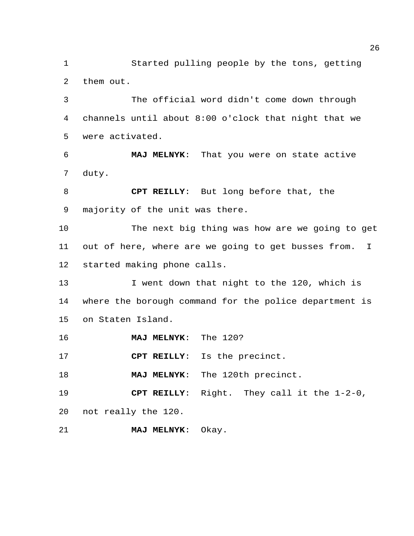Started pulling people by the tons, getting them out.

 The official word didn't come down through channels until about 8:00 o'clock that night that we were activated.

 **MAJ MELNYK**: That you were on state active duty.

 **CPT REILLY**: But long before that, the majority of the unit was there.

 The next big thing was how are we going to get out of here, where are we going to get busses from. I started making phone calls.

13 I went down that night to the 120, which is where the borough command for the police department is on Staten Island.

**MAJ MELNYK**: The 120?

**CPT REILLY**: Is the precinct.

**MAJ MELNYK**: The 120th precinct.

 **CPT REILLY**: Right. They call it the 1-2-0, not really the 120.

**MAJ MELNYK**: Okay.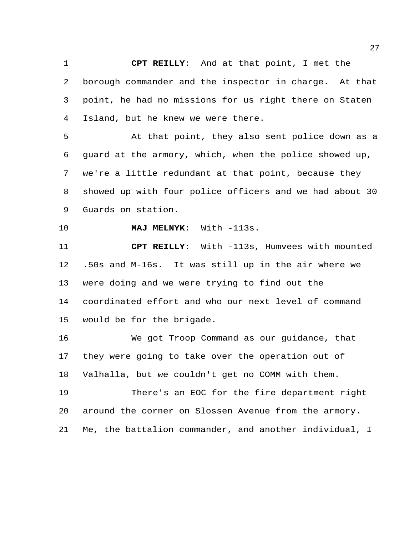**CPT REILLY**: And at that point, I met the borough commander and the inspector in charge. At that point, he had no missions for us right there on Staten Island, but he knew we were there.

 At that point, they also sent police down as a guard at the armory, which, when the police showed up, we're a little redundant at that point, because they showed up with four police officers and we had about 30 Guards on station.

**MAJ MELNYK**: With -113s.

 **CPT REILLY**: With -113s, Humvees with mounted .50s and M-16s. It was still up in the air where we were doing and we were trying to find out the coordinated effort and who our next level of command would be for the brigade.

 We got Troop Command as our guidance, that they were going to take over the operation out of Valhalla, but we couldn't get no COMM with them.

 There's an EOC for the fire department right around the corner on Slossen Avenue from the armory. Me, the battalion commander, and another individual, I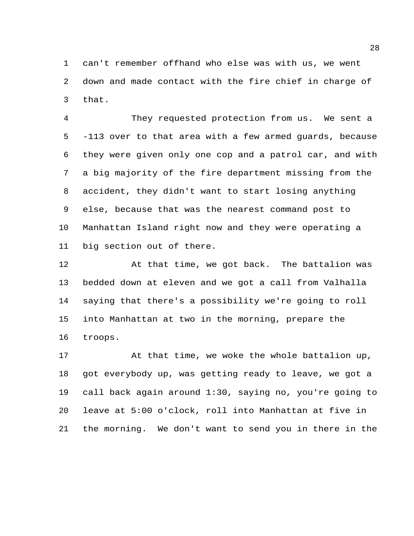can't remember offhand who else was with us, we went down and made contact with the fire chief in charge of that.

 They requested protection from us. We sent a -113 over to that area with a few armed guards, because they were given only one cop and a patrol car, and with a big majority of the fire department missing from the accident, they didn't want to start losing anything else, because that was the nearest command post to Manhattan Island right now and they were operating a big section out of there.

 At that time, we got back. The battalion was bedded down at eleven and we got a call from Valhalla saying that there's a possibility we're going to roll into Manhattan at two in the morning, prepare the troops.

17 At that time, we woke the whole battalion up, got everybody up, was getting ready to leave, we got a call back again around 1:30, saying no, you're going to leave at 5:00 o'clock, roll into Manhattan at five in the morning. We don't want to send you in there in the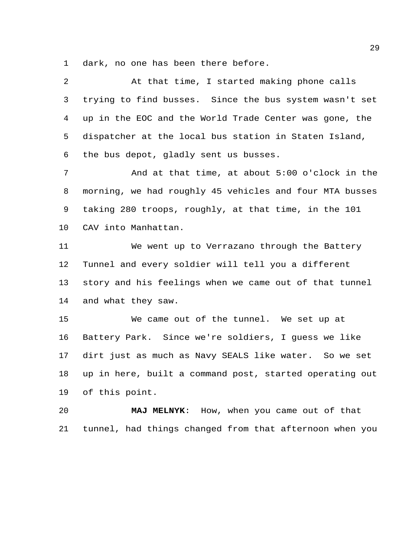dark, no one has been there before.

| $\overline{a}$  | At that time, I started making phone calls              |
|-----------------|---------------------------------------------------------|
| 3               | trying to find busses. Since the bus system wasn't set  |
| $\overline{4}$  | up in the EOC and the World Trade Center was gone, the  |
| 5               | dispatcher at the local bus station in Staten Island,   |
| 6               | the bus depot, gladly sent us busses.                   |
| 7               | And at that time, at about 5:00 o'clock in the          |
| 8               | morning, we had roughly 45 vehicles and four MTA busses |
| 9               | taking 280 troops, roughly, at that time, in the 101    |
| 10 <sub>o</sub> | CAV into Manhattan.                                     |
| 11              | We went up to Verrazano through the Battery             |
| 12              | Tunnel and every soldier will tell you a different      |
| 13              | story and his feelings when we came out of that tunnel  |
| 14              | and what they saw.                                      |
| 15              | We came out of the tunnel. We set up at                 |
| 16              | Battery Park. Since we're soldiers, I guess we like     |
| 17              | dirt just as much as Navy SEALS like water. So we set   |

 up in here, built a command post, started operating out of this point.

 **MAJ MELNYK**: How, when you came out of that tunnel, had things changed from that afternoon when you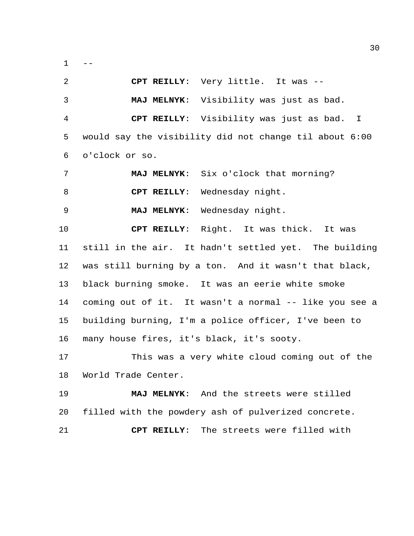$1 - -$ 

| 2  | CPT REILLY: Very little. It was --                     |  |  |  |  |  |
|----|--------------------------------------------------------|--|--|--|--|--|
| 3  | MAJ MELNYK: Visibility was just as bad.                |  |  |  |  |  |
| 4  | CPT REILLY: Visibility was just as bad. I              |  |  |  |  |  |
| 5  | would say the visibility did not change til about 6:00 |  |  |  |  |  |
| 6  | o'clock or so.                                         |  |  |  |  |  |
| 7  | MAJ MELNYK: Six o'clock that morning?                  |  |  |  |  |  |
| 8  | CPT REILLY: Wednesday night.                           |  |  |  |  |  |
| 9  | MAJ MELNYK: Wednesday night.                           |  |  |  |  |  |
| 10 | CPT REILLY: Right. It was thick. It was                |  |  |  |  |  |
| 11 | still in the air. It hadn't settled yet. The building  |  |  |  |  |  |
| 12 | was still burning by a ton. And it wasn't that black,  |  |  |  |  |  |
| 13 | black burning smoke. It was an eerie white smoke       |  |  |  |  |  |
| 14 | coming out of it. It wasn't a normal -- like you see a |  |  |  |  |  |
| 15 | building burning, I'm a police officer, I've been to   |  |  |  |  |  |
| 16 | many house fires, it's black, it's sooty.              |  |  |  |  |  |
| 17 | This was a very white cloud coming out of the          |  |  |  |  |  |
| 18 | World Trade Center.                                    |  |  |  |  |  |
| 19 | MAJ MELNYK: And the streets were stilled               |  |  |  |  |  |
| 20 | filled with the powdery ash of pulverized concrete.    |  |  |  |  |  |
| 21 | The streets were filled with<br>CPT REILLY:            |  |  |  |  |  |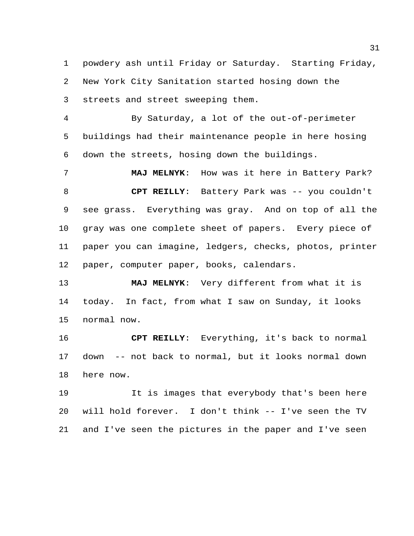powdery ash until Friday or Saturday. Starting Friday, New York City Sanitation started hosing down the streets and street sweeping them.

 By Saturday, a lot of the out-of-perimeter buildings had their maintenance people in here hosing down the streets, hosing down the buildings.

 **MAJ MELNYK**: How was it here in Battery Park? **CPT REILLY**: Battery Park was -- you couldn't see grass. Everything was gray. And on top of all the gray was one complete sheet of papers. Every piece of paper you can imagine, ledgers, checks, photos, printer paper, computer paper, books, calendars.

 **MAJ MELNYK**: Very different from what it is today. In fact, from what I saw on Sunday, it looks normal now.

 **CPT REILLY**: Everything, it's back to normal down -- not back to normal, but it looks normal down here now.

 It is images that everybody that's been here will hold forever. I don't think -- I've seen the TV and I've seen the pictures in the paper and I've seen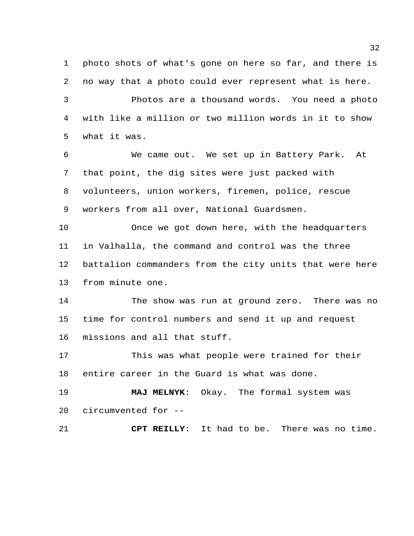photo shots of what's gone on here so far, and there is no way that a photo could ever represent what is here.

 Photos are a thousand words. You need a photo with like a million or two million words in it to show what it was.

 We came out. We set up in Battery Park. At that point, the dig sites were just packed with volunteers, union workers, firemen, police, rescue workers from all over, National Guardsmen.

 Once we got down here, with the headquarters in Valhalla, the command and control was the three battalion commanders from the city units that were here from minute one.

 The show was run at ground zero. There was no time for control numbers and send it up and request missions and all that stuff.

 This was what people were trained for their entire career in the Guard is what was done.

 **MAJ MELNYK**: Okay. The formal system was circumvented for --

**CPT REILLY**: It had to be. There was no time.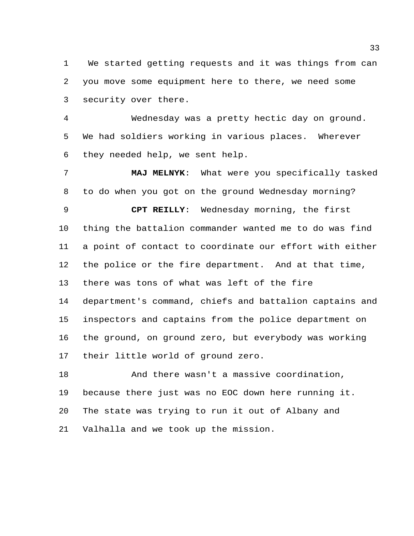We started getting requests and it was things from can you move some equipment here to there, we need some security over there.

 Wednesday was a pretty hectic day on ground. We had soldiers working in various places. Wherever they needed help, we sent help.

 **MAJ MELNYK**: What were you specifically tasked to do when you got on the ground Wednesday morning?

 **CPT REILLY**: Wednesday morning, the first thing the battalion commander wanted me to do was find a point of contact to coordinate our effort with either the police or the fire department. And at that time, there was tons of what was left of the fire department's command, chiefs and battalion captains and inspectors and captains from the police department on the ground, on ground zero, but everybody was working their little world of ground zero.

 And there wasn't a massive coordination, because there just was no EOC down here running it. The state was trying to run it out of Albany and Valhalla and we took up the mission.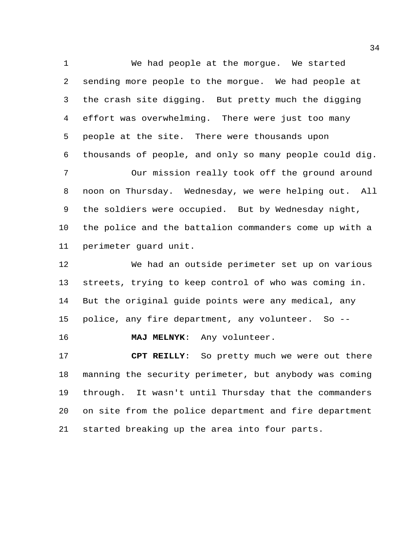We had people at the morgue. We started sending more people to the morgue. We had people at the crash site digging. But pretty much the digging effort was overwhelming. There were just too many people at the site. There were thousands upon thousands of people, and only so many people could dig.

 Our mission really took off the ground around noon on Thursday. Wednesday, we were helping out. All the soldiers were occupied. But by Wednesday night, the police and the battalion commanders come up with a perimeter guard unit.

 We had an outside perimeter set up on various streets, trying to keep control of who was coming in. But the original guide points were any medical, any police, any fire department, any volunteer. So --

**MAJ MELNYK**: Any volunteer.

 **CPT REILLY**: So pretty much we were out there manning the security perimeter, but anybody was coming through. It wasn't until Thursday that the commanders on site from the police department and fire department started breaking up the area into four parts.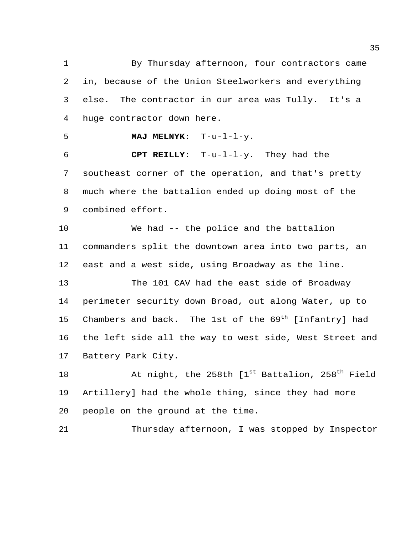By Thursday afternoon, four contractors came in, because of the Union Steelworkers and everything else. The contractor in our area was Tully. It's a huge contractor down here.

**MAJ MELNYK**: T-u-l-l-y.

 **CPT REILLY**: T-u-l-l-y. They had the southeast corner of the operation, and that's pretty much where the battalion ended up doing most of the combined effort.

 We had -- the police and the battalion commanders split the downtown area into two parts, an east and a west side, using Broadway as the line.

 The 101 CAV had the east side of Broadway perimeter security down Broad, out along Water, up to 15 Chambers and back. The 1st of the  $69<sup>th</sup>$  [Infantry] had the left side all the way to west side, West Street and Battery Park City.

18 At night, the 258th [1st Battalion, 258<sup>th</sup> Field Artillery] had the whole thing, since they had more people on the ground at the time.

Thursday afternoon, I was stopped by Inspector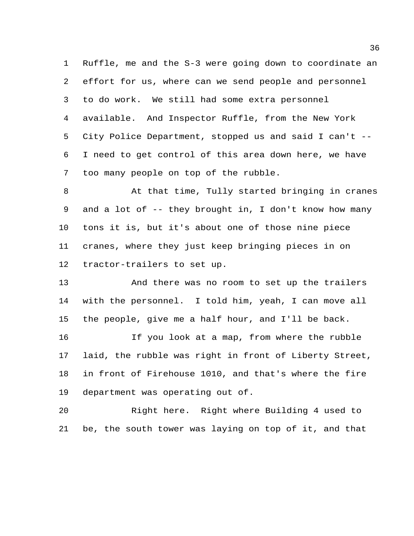Ruffle, me and the S-3 were going down to coordinate an effort for us, where can we send people and personnel to do work. We still had some extra personnel available. And Inspector Ruffle, from the New York City Police Department, stopped us and said I can't -- I need to get control of this area down here, we have too many people on top of the rubble.

 At that time, Tully started bringing in cranes and a lot of -- they brought in, I don't know how many tons it is, but it's about one of those nine piece cranes, where they just keep bringing pieces in on tractor-trailers to set up.

 And there was no room to set up the trailers with the personnel. I told him, yeah, I can move all the people, give me a half hour, and I'll be back.

 If you look at a map, from where the rubble laid, the rubble was right in front of Liberty Street, in front of Firehouse 1010, and that's where the fire department was operating out of.

 Right here. Right where Building 4 used to be, the south tower was laying on top of it, and that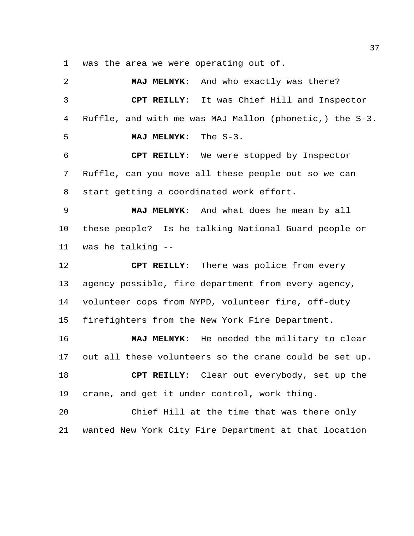was the area we were operating out of.

 **MAJ MELNYK**: And who exactly was there? **CPT REILLY**: It was Chief Hill and Inspector Ruffle, and with me was MAJ Mallon (phonetic,) the S-3. **MAJ MELNYK**: The S-3. **CPT REILLY**: We were stopped by Inspector Ruffle, can you move all these people out so we can start getting a coordinated work effort. **MAJ MELNYK**: And what does he mean by all these people? Is he talking National Guard people or was he talking -- **CPT REILLY**: There was police from every agency possible, fire department from every agency, volunteer cops from NYPD, volunteer fire, off-duty firefighters from the New York Fire Department. **MAJ MELNYK**: He needed the military to clear out all these volunteers so the crane could be set up. **CPT REILLY**: Clear out everybody, set up the crane, and get it under control, work thing. Chief Hill at the time that was there only

wanted New York City Fire Department at that location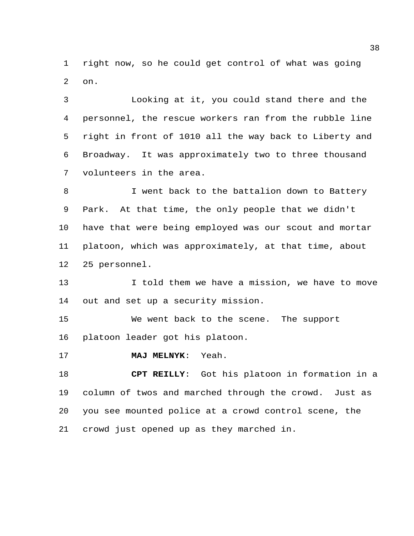right now, so he could get control of what was going on.

 Looking at it, you could stand there and the personnel, the rescue workers ran from the rubble line right in front of 1010 all the way back to Liberty and Broadway. It was approximately two to three thousand volunteers in the area.

 I went back to the battalion down to Battery Park. At that time, the only people that we didn't have that were being employed was our scout and mortar platoon, which was approximately, at that time, about 25 personnel.

13 I told them we have a mission, we have to move out and set up a security mission.

 We went back to the scene. The support platoon leader got his platoon.

**MAJ MELNYK**: Yeah.

 **CPT REILLY**: Got his platoon in formation in a column of twos and marched through the crowd. Just as you see mounted police at a crowd control scene, the crowd just opened up as they marched in.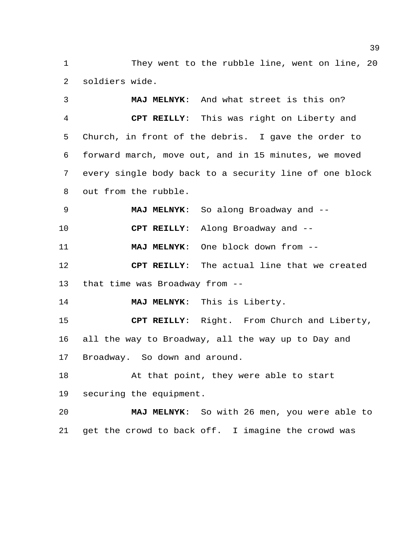1 They went to the rubble line, went on line, 20 soldiers wide.

 **MAJ MELNYK**: And what street is this on? **CPT REILLY**: This was right on Liberty and Church, in front of the debris. I gave the order to forward march, move out, and in 15 minutes, we moved every single body back to a security line of one block out from the rubble.

**MAJ MELNYK**: So along Broadway and --

**CPT REILLY**: Along Broadway and --

**MAJ MELNYK**: One block down from --

 **CPT REILLY**: The actual line that we created that time was Broadway from --

**MAJ MELNYK**: This is Liberty.

 **CPT REILLY**: Right. From Church and Liberty, all the way to Broadway, all the way up to Day and Broadway. So down and around.

 At that point, they were able to start securing the equipment.

 **MAJ MELNYK**: So with 26 men, you were able to get the crowd to back off. I imagine the crowd was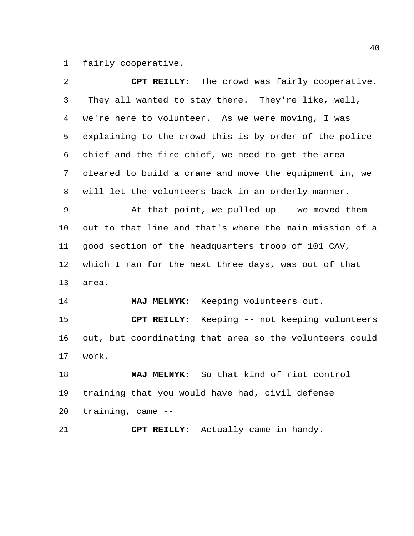fairly cooperative.

| $\overline{a}$ | CPT REILLY: The crowd was fairly cooperative.           |  |  |  |  |  |
|----------------|---------------------------------------------------------|--|--|--|--|--|
| 3              | They all wanted to stay there. They're like, well,      |  |  |  |  |  |
| 4              | we're here to volunteer. As we were moving, I was       |  |  |  |  |  |
| 5              | explaining to the crowd this is by order of the police  |  |  |  |  |  |
| 6              | chief and the fire chief, we need to get the area       |  |  |  |  |  |
| 7              | cleared to build a crane and move the equipment in, we  |  |  |  |  |  |
| 8              | will let the volunteers back in an orderly manner.      |  |  |  |  |  |
| 9              | At that point, we pulled up $-$ we moved them           |  |  |  |  |  |
| $10 \,$        | out to that line and that's where the main mission of a |  |  |  |  |  |
| 11             | good section of the headquarters troop of 101 CAV,      |  |  |  |  |  |
| 12             | which I ran for the next three days, was out of that    |  |  |  |  |  |
| 13             | area.                                                   |  |  |  |  |  |
| 14             | MAJ MELNYK: Keeping volunteers out.                     |  |  |  |  |  |
| 15             | CPT REILLY: Keeping -- not keeping volunteers           |  |  |  |  |  |
| 16             | out, but coordinating that area so the volunteers could |  |  |  |  |  |
| 17             | work.                                                   |  |  |  |  |  |
| 18             | So that kind of riot control<br><b>MAJ MELNYK:</b>      |  |  |  |  |  |
| 19             | training that you would have had, civil defense         |  |  |  |  |  |
| 20             | training, came --                                       |  |  |  |  |  |
| 21             | CPT REILLY: Actually came in handy.                     |  |  |  |  |  |
|                |                                                         |  |  |  |  |  |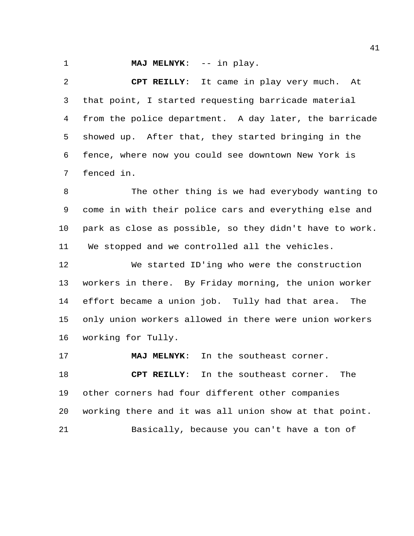**MAJ MELNYK:** -- in play.

 **CPT REILLY**: It came in play very much. At that point, I started requesting barricade material from the police department. A day later, the barricade showed up. After that, they started bringing in the fence, where now you could see downtown New York is fenced in.

 The other thing is we had everybody wanting to come in with their police cars and everything else and park as close as possible, so they didn't have to work. We stopped and we controlled all the vehicles.

 We started ID'ing who were the construction workers in there. By Friday morning, the union worker effort became a union job. Tully had that area. The only union workers allowed in there were union workers working for Tully.

 **MAJ MELNYK**: In the southeast corner. **CPT REILLY**: In the southeast corner. The other corners had four different other companies working there and it was all union show at that point. Basically, because you can't have a ton of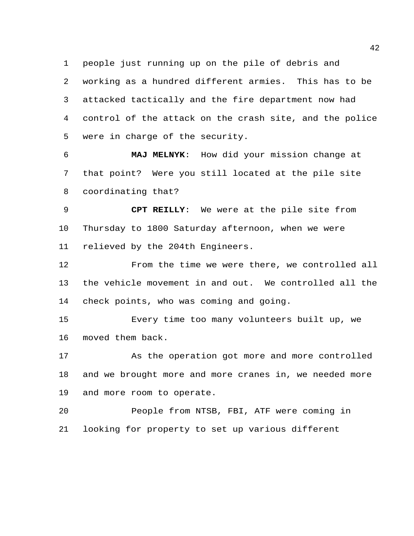people just running up on the pile of debris and

 working as a hundred different armies. This has to be attacked tactically and the fire department now had control of the attack on the crash site, and the police were in charge of the security.

 **MAJ MELNYK**: How did your mission change at that point? Were you still located at the pile site coordinating that?

 **CPT REILLY**: We were at the pile site from Thursday to 1800 Saturday afternoon, when we were relieved by the 204th Engineers.

 From the time we were there, we controlled all the vehicle movement in and out. We controlled all the check points, who was coming and going.

 Every time too many volunteers built up, we moved them back.

 As the operation got more and more controlled and we brought more and more cranes in, we needed more and more room to operate.

 People from NTSB, FBI, ATF were coming in looking for property to set up various different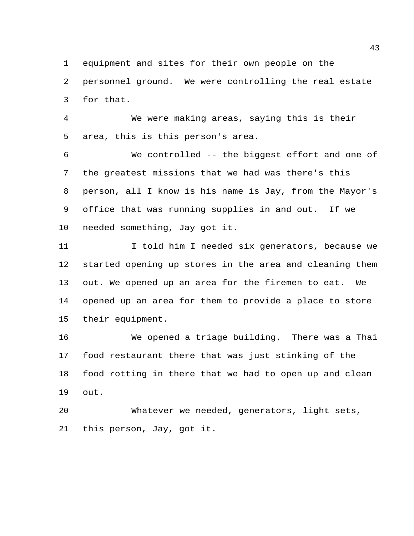equipment and sites for their own people on the

 personnel ground. We were controlling the real estate for that.

 We were making areas, saying this is their area, this is this person's area.

 We controlled -- the biggest effort and one of the greatest missions that we had was there's this person, all I know is his name is Jay, from the Mayor's office that was running supplies in and out. If we needed something, Jay got it.

11 I told him I needed six generators, because we started opening up stores in the area and cleaning them out. We opened up an area for the firemen to eat. We opened up an area for them to provide a place to store their equipment.

 We opened a triage building. There was a Thai food restaurant there that was just stinking of the food rotting in there that we had to open up and clean out.

 Whatever we needed, generators, light sets, this person, Jay, got it.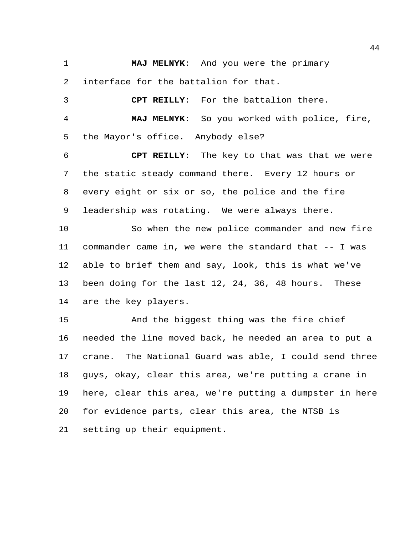**MAJ MELNYK**: And you were the primary interface for the battalion for that.

 **CPT REILLY**: For the battalion there. **MAJ MELNYK**: So you worked with police, fire, the Mayor's office. Anybody else? **CPT REILLY**: The key to that was that we were the static steady command there. Every 12 hours or every eight or six or so, the police and the fire

leadership was rotating. We were always there.

 So when the new police commander and new fire commander came in, we were the standard that -- I was able to brief them and say, look, this is what we've been doing for the last 12, 24, 36, 48 hours. These are the key players.

 And the biggest thing was the fire chief needed the line moved back, he needed an area to put a crane. The National Guard was able, I could send three guys, okay, clear this area, we're putting a crane in here, clear this area, we're putting a dumpster in here for evidence parts, clear this area, the NTSB is setting up their equipment.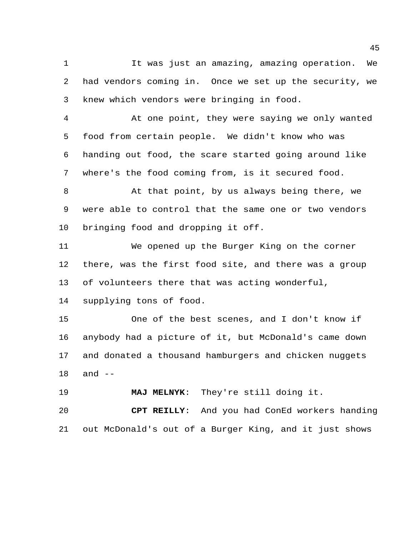It was just an amazing, amazing operation. We had vendors coming in. Once we set up the security, we knew which vendors were bringing in food.

 At one point, they were saying we only wanted food from certain people. We didn't know who was handing out food, the scare started going around like where's the food coming from, is it secured food.

 At that point, by us always being there, we were able to control that the same one or two vendors bringing food and dropping it off.

 We opened up the Burger King on the corner there, was the first food site, and there was a group of volunteers there that was acting wonderful,

supplying tons of food.

 One of the best scenes, and I don't know if anybody had a picture of it, but McDonald's came down and donated a thousand hamburgers and chicken nuggets and --

**MAJ MELNYK**: They're still doing it.

 **CPT REILLY**: And you had ConEd workers handing out McDonald's out of a Burger King, and it just shows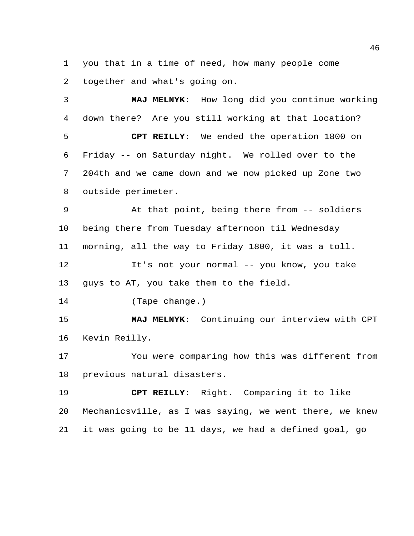you that in a time of need, how many people come together and what's going on.

 **MAJ MELNYK**: How long did you continue working down there? Are you still working at that location? **CPT REILLY**: We ended the operation 1800 on Friday -- on Saturday night. We rolled over to the 204th and we came down and we now picked up Zone two outside perimeter. At that point, being there from -- soldiers being there from Tuesday afternoon til Wednesday morning, all the way to Friday 1800, it was a toll. It's not your normal -- you know, you take guys to AT, you take them to the field. (Tape change.) **MAJ MELNYK**: Continuing our interview with CPT Kevin Reilly. You were comparing how this was different from previous natural disasters. **CPT REILLY**: Right. Comparing it to like Mechanicsville, as I was saying, we went there, we knew

it was going to be 11 days, we had a defined goal, go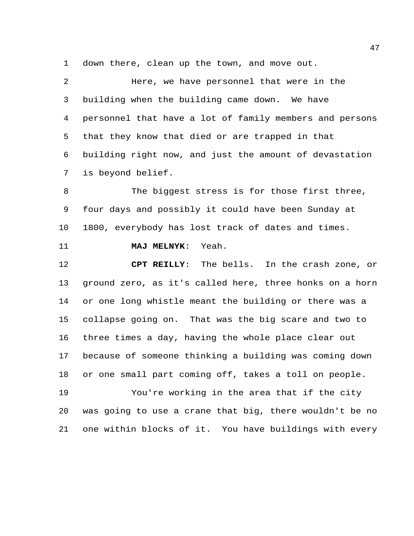down there, clean up the town, and move out.

 Here, we have personnel that were in the building when the building came down. We have personnel that have a lot of family members and persons that they know that died or are trapped in that building right now, and just the amount of devastation is beyond belief.

8 The biggest stress is for those first three, four days and possibly it could have been Sunday at 1800, everybody has lost track of dates and times.

**MAJ MELNYK**: Yeah.

 **CPT REILLY**: The bells. In the crash zone, or ground zero, as it's called here, three honks on a horn or one long whistle meant the building or there was a collapse going on. That was the big scare and two to three times a day, having the whole place clear out because of someone thinking a building was coming down or one small part coming off, takes a toll on people.

 You're working in the area that if the city was going to use a crane that big, there wouldn't be no one within blocks of it. You have buildings with every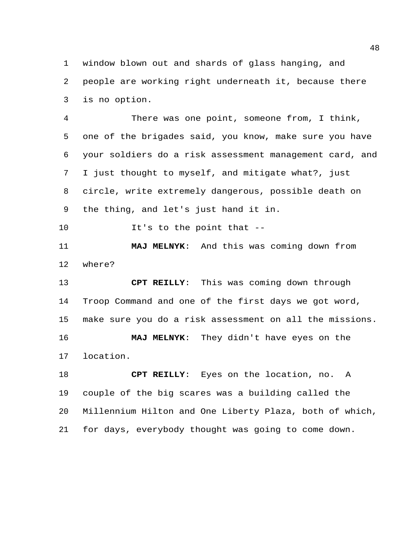window blown out and shards of glass hanging, and people are working right underneath it, because there is no option.

 There was one point, someone from, I think, one of the brigades said, you know, make sure you have your soldiers do a risk assessment management card, and I just thought to myself, and mitigate what?, just circle, write extremely dangerous, possible death on the thing, and let's just hand it in.

10 It's to the point that --

 **MAJ MELNYK**: And this was coming down from where?

 **CPT REILLY**: This was coming down through Troop Command and one of the first days we got word, make sure you do a risk assessment on all the missions. **MAJ MELNYK**: They didn't have eyes on the location.

 **CPT REILLY**: Eyes on the location, no. A couple of the big scares was a building called the Millennium Hilton and One Liberty Plaza, both of which, for days, everybody thought was going to come down.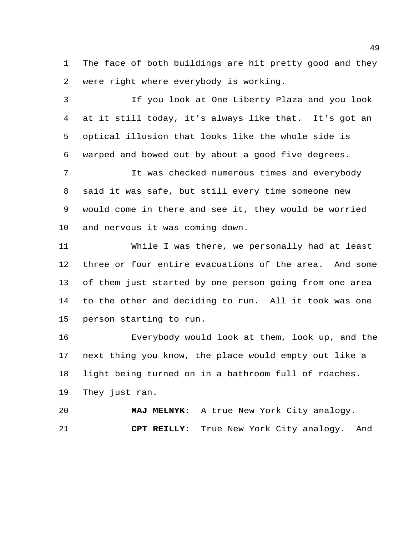The face of both buildings are hit pretty good and they were right where everybody is working.

 If you look at One Liberty Plaza and you look at it still today, it's always like that. It's got an optical illusion that looks like the whole side is warped and bowed out by about a good five degrees.

 It was checked numerous times and everybody said it was safe, but still every time someone new would come in there and see it, they would be worried and nervous it was coming down.

 While I was there, we personally had at least three or four entire evacuations of the area. And some of them just started by one person going from one area to the other and deciding to run. All it took was one person starting to run.

 Everybody would look at them, look up, and the next thing you know, the place would empty out like a light being turned on in a bathroom full of roaches. They just ran.

 **MAJ MELNYK**: A true New York City analogy. **CPT REILLY**: True New York City analogy. And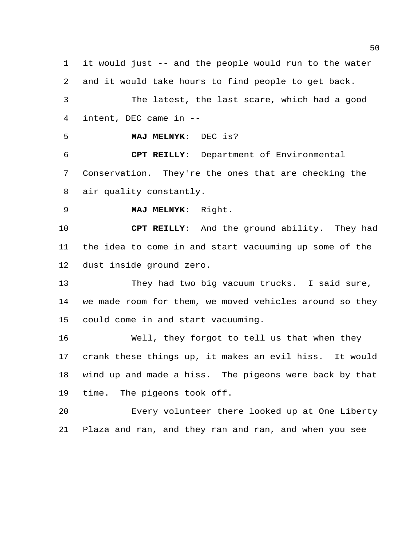it would just -- and the people would run to the water and it would take hours to find people to get back. The latest, the last scare, which had a good intent, DEC came in --

**MAJ MELNYK**: DEC is?

 **CPT REILLY**: Department of Environmental Conservation. They're the ones that are checking the air quality constantly.

**MAJ MELNYK**: Right.

 **CPT REILLY**: And the ground ability. They had the idea to come in and start vacuuming up some of the dust inside ground zero.

 They had two big vacuum trucks. I said sure, we made room for them, we moved vehicles around so they could come in and start vacuuming.

 Well, they forgot to tell us that when they crank these things up, it makes an evil hiss. It would wind up and made a hiss. The pigeons were back by that time. The pigeons took off.

 Every volunteer there looked up at One Liberty Plaza and ran, and they ran and ran, and when you see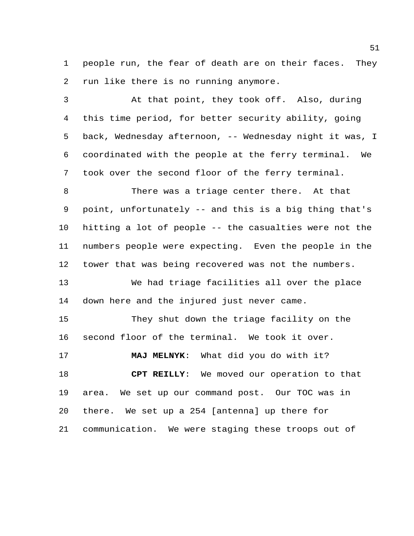people run, the fear of death are on their faces. They run like there is no running anymore.

 At that point, they took off. Also, during this time period, for better security ability, going back, Wednesday afternoon, -- Wednesday night it was, I coordinated with the people at the ferry terminal. We took over the second floor of the ferry terminal.

 There was a triage center there. At that point, unfortunately -- and this is a big thing that's hitting a lot of people -- the casualties were not the numbers people were expecting. Even the people in the tower that was being recovered was not the numbers.

 We had triage facilities all over the place down here and the injured just never came.

 They shut down the triage facility on the second floor of the terminal. We took it over.

 **MAJ MELNYK**: What did you do with it? **CPT REILLY**: We moved our operation to that area. We set up our command post. Our TOC was in there. We set up a 254 [antenna] up there for communication. We were staging these troops out of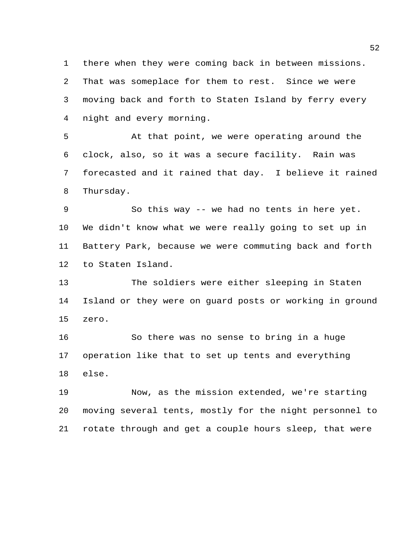there when they were coming back in between missions. That was someplace for them to rest. Since we were moving back and forth to Staten Island by ferry every night and every morning.

 At that point, we were operating around the clock, also, so it was a secure facility. Rain was forecasted and it rained that day. I believe it rained Thursday.

 So this way -- we had no tents in here yet. We didn't know what we were really going to set up in Battery Park, because we were commuting back and forth to Staten Island.

 The soldiers were either sleeping in Staten Island or they were on guard posts or working in ground zero.

 So there was no sense to bring in a huge operation like that to set up tents and everything else.

 Now, as the mission extended, we're starting moving several tents, mostly for the night personnel to rotate through and get a couple hours sleep, that were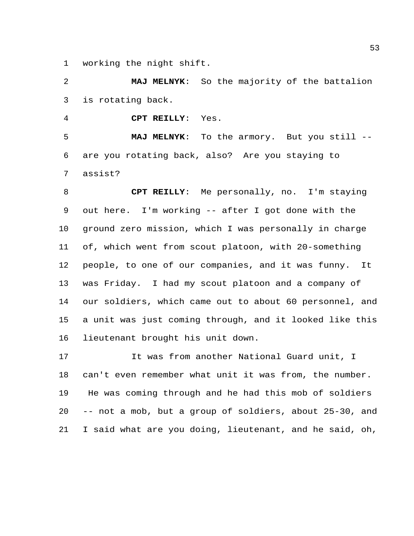working the night shift.

 **MAJ MELNYK**: So the majority of the battalion is rotating back.

**CPT REILLY**: Yes.

 **MAJ MELNYK**: To the armory. But you still -- are you rotating back, also? Are you staying to assist?

 **CPT REILLY**: Me personally, no. I'm staying out here. I'm working -- after I got done with the ground zero mission, which I was personally in charge of, which went from scout platoon, with 20-something people, to one of our companies, and it was funny. It was Friday. I had my scout platoon and a company of our soldiers, which came out to about 60 personnel, and a unit was just coming through, and it looked like this lieutenant brought his unit down.

 It was from another National Guard unit, I can't even remember what unit it was from, the number. He was coming through and he had this mob of soldiers -- not a mob, but a group of soldiers, about 25-30, and I said what are you doing, lieutenant, and he said, oh,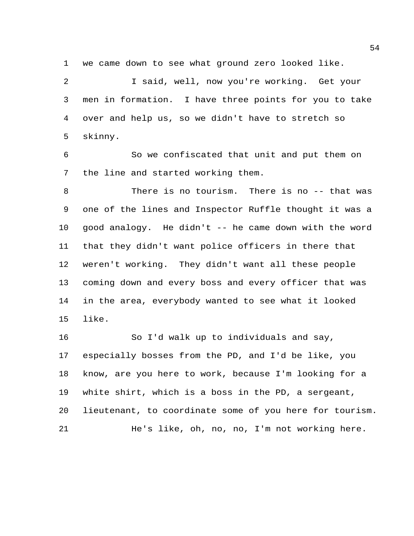we came down to see what ground zero looked like.

 I said, well, now you're working. Get your men in formation. I have three points for you to take over and help us, so we didn't have to stretch so skinny.

 So we confiscated that unit and put them on the line and started working them.

 There is no tourism. There is no -- that was one of the lines and Inspector Ruffle thought it was a good analogy. He didn't -- he came down with the word that they didn't want police officers in there that weren't working. They didn't want all these people coming down and every boss and every officer that was in the area, everybody wanted to see what it looked like.

 So I'd walk up to individuals and say, especially bosses from the PD, and I'd be like, you know, are you here to work, because I'm looking for a white shirt, which is a boss in the PD, a sergeant, lieutenant, to coordinate some of you here for tourism. He's like, oh, no, no, I'm not working here.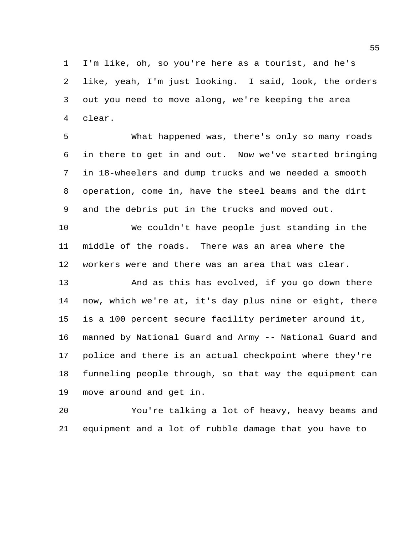I'm like, oh, so you're here as a tourist, and he's like, yeah, I'm just looking. I said, look, the orders out you need to move along, we're keeping the area clear.

 What happened was, there's only so many roads in there to get in and out. Now we've started bringing in 18-wheelers and dump trucks and we needed a smooth operation, come in, have the steel beams and the dirt and the debris put in the trucks and moved out.

 We couldn't have people just standing in the middle of the roads. There was an area where the workers were and there was an area that was clear.

 And as this has evolved, if you go down there now, which we're at, it's day plus nine or eight, there is a 100 percent secure facility perimeter around it, manned by National Guard and Army -- National Guard and police and there is an actual checkpoint where they're funneling people through, so that way the equipment can move around and get in.

 You're talking a lot of heavy, heavy beams and equipment and a lot of rubble damage that you have to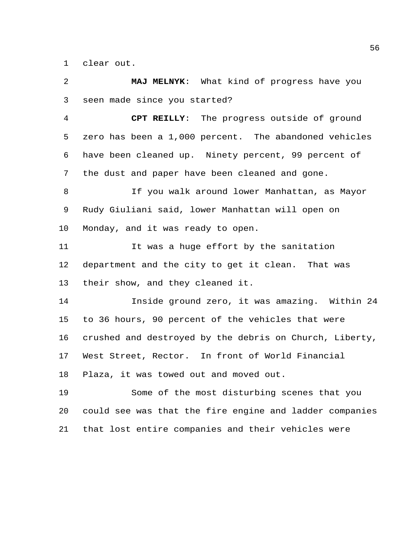clear out.

 **MAJ MELNYK**: What kind of progress have you seen made since you started? **CPT REILLY**: The progress outside of ground zero has been a 1,000 percent. The abandoned vehicles have been cleaned up. Ninety percent, 99 percent of the dust and paper have been cleaned and gone. If you walk around lower Manhattan, as Mayor Rudy Giuliani said, lower Manhattan will open on Monday, and it was ready to open. It was a huge effort by the sanitation department and the city to get it clean. That was their show, and they cleaned it. Inside ground zero, it was amazing. Within 24 to 36 hours, 90 percent of the vehicles that were crushed and destroyed by the debris on Church, Liberty, West Street, Rector. In front of World Financial Plaza, it was towed out and moved out. Some of the most disturbing scenes that you could see was that the fire engine and ladder companies that lost entire companies and their vehicles were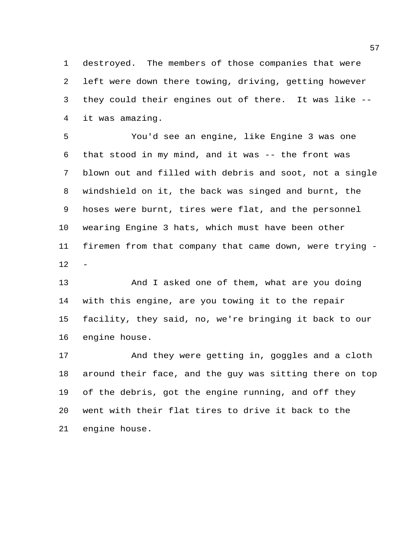destroyed. The members of those companies that were left were down there towing, driving, getting however they could their engines out of there. It was like -- it was amazing.

 You'd see an engine, like Engine 3 was one that stood in my mind, and it was -- the front was blown out and filled with debris and soot, not a single windshield on it, the back was singed and burnt, the hoses were burnt, tires were flat, and the personnel wearing Engine 3 hats, which must have been other firemen from that company that came down, were trying - 

 And I asked one of them, what are you doing with this engine, are you towing it to the repair facility, they said, no, we're bringing it back to our engine house.

 And they were getting in, goggles and a cloth around their face, and the guy was sitting there on top of the debris, got the engine running, and off they went with their flat tires to drive it back to the engine house.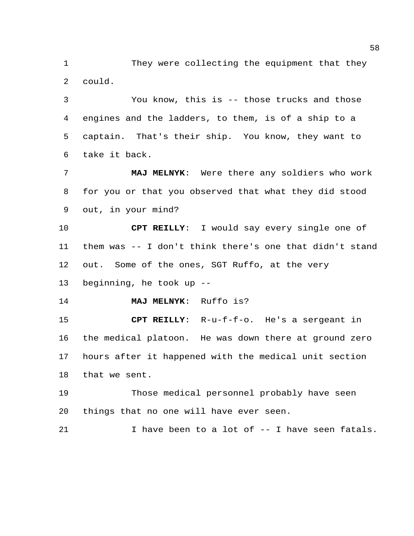They were collecting the equipment that they could.

 You know, this is -- those trucks and those engines and the ladders, to them, is of a ship to a captain. That's their ship. You know, they want to take it back.

 **MAJ MELNYK**: Were there any soldiers who work for you or that you observed that what they did stood out, in your mind?

 **CPT REILLY**: I would say every single one of them was -- I don't think there's one that didn't stand out. Some of the ones, SGT Ruffo, at the very

beginning, he took up --

**MAJ MELNYK**: Ruffo is?

 **CPT REILLY**: R-u-f-f-o. He's a sergeant in the medical platoon. He was down there at ground zero hours after it happened with the medical unit section that we sent.

 Those medical personnel probably have seen things that no one will have ever seen.

I have been to a lot of -- I have seen fatals.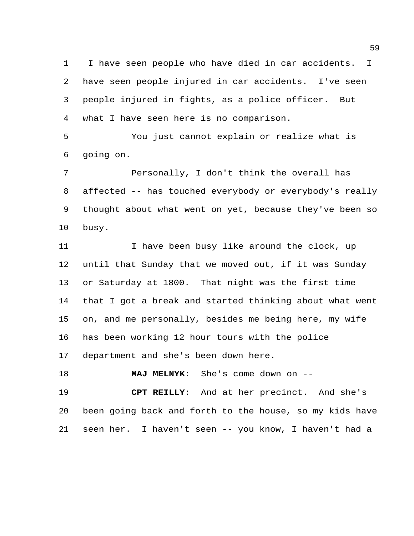I have seen people who have died in car accidents. I have seen people injured in car accidents. I've seen people injured in fights, as a police officer. But what I have seen here is no comparison.

 You just cannot explain or realize what is going on.

 Personally, I don't think the overall has affected -- has touched everybody or everybody's really thought about what went on yet, because they've been so busy.

11 I have been busy like around the clock, up until that Sunday that we moved out, if it was Sunday or Saturday at 1800. That night was the first time that I got a break and started thinking about what went on, and me personally, besides me being here, my wife has been working 12 hour tours with the police department and she's been down here.

**MAJ MELNYK**: She's come down on --

 **CPT REILLY**: And at her precinct. And she's been going back and forth to the house, so my kids have seen her. I haven't seen -- you know, I haven't had a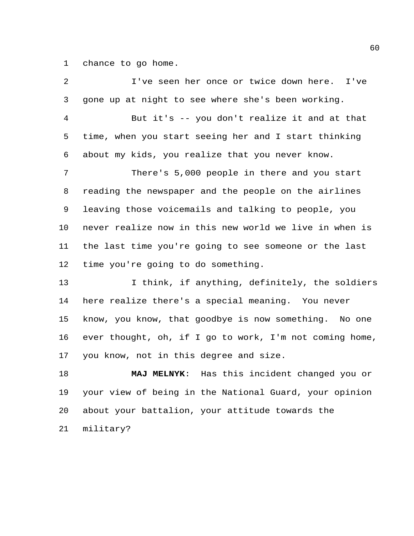chance to go home.

 I've seen her once or twice down here. I've gone up at night to see where she's been working. But it's -- you don't realize it and at that time, when you start seeing her and I start thinking about my kids, you realize that you never know. There's 5,000 people in there and you start reading the newspaper and the people on the airlines leaving those voicemails and talking to people, you never realize now in this new world we live in when is the last time you're going to see someone or the last time you're going to do something. 13 I think, if anything, definitely, the soldiers here realize there's a special meaning. You never know, you know, that goodbye is now something. No one ever thought, oh, if I go to work, I'm not coming home, you know, not in this degree and size. **MAJ MELNYK**: Has this incident changed you or your view of being in the National Guard, your opinion about your battalion, your attitude towards the military?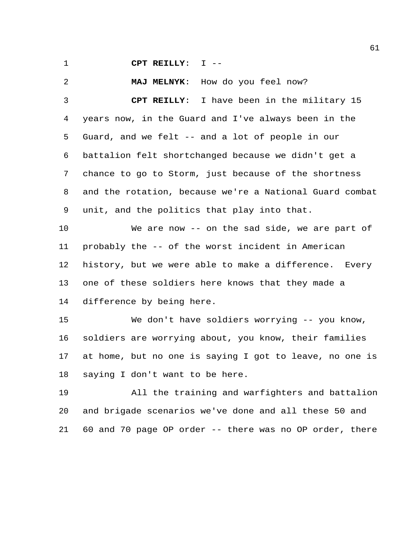**CPT REILLY**: I --

**MAJ MELNYK**: How do you feel now?

 **CPT REILLY**: I have been in the military 15 years now, in the Guard and I've always been in the Guard, and we felt -- and a lot of people in our battalion felt shortchanged because we didn't get a chance to go to Storm, just because of the shortness and the rotation, because we're a National Guard combat unit, and the politics that play into that.

 We are now -- on the sad side, we are part of probably the -- of the worst incident in American history, but we were able to make a difference. Every one of these soldiers here knows that they made a difference by being here.

 We don't have soldiers worrying -- you know, soldiers are worrying about, you know, their families at home, but no one is saying I got to leave, no one is saying I don't want to be here.

 All the training and warfighters and battalion and brigade scenarios we've done and all these 50 and 60 and 70 page OP order -- there was no OP order, there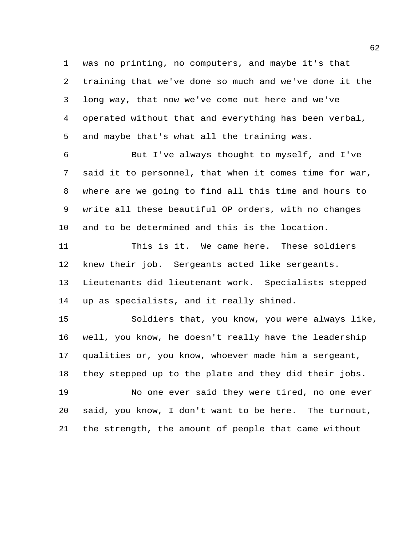was no printing, no computers, and maybe it's that training that we've done so much and we've done it the long way, that now we've come out here and we've operated without that and everything has been verbal, and maybe that's what all the training was.

 But I've always thought to myself, and I've said it to personnel, that when it comes time for war, where are we going to find all this time and hours to write all these beautiful OP orders, with no changes and to be determined and this is the location.

 This is it. We came here. These soldiers knew their job. Sergeants acted like sergeants. Lieutenants did lieutenant work. Specialists stepped up as specialists, and it really shined.

 Soldiers that, you know, you were always like, well, you know, he doesn't really have the leadership qualities or, you know, whoever made him a sergeant, they stepped up to the plate and they did their jobs. No one ever said they were tired, no one ever said, you know, I don't want to be here. The turnout, the strength, the amount of people that came without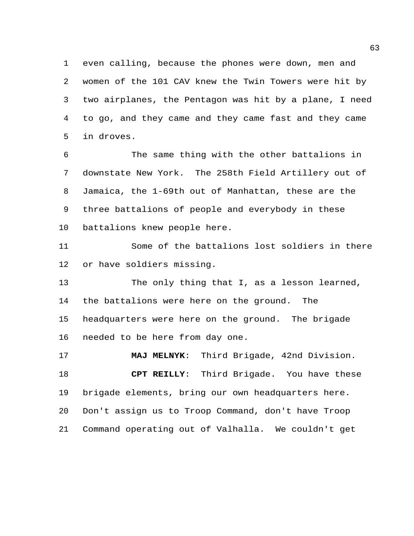even calling, because the phones were down, men and women of the 101 CAV knew the Twin Towers were hit by two airplanes, the Pentagon was hit by a plane, I need to go, and they came and they came fast and they came in droves.

 The same thing with the other battalions in downstate New York. The 258th Field Artillery out of Jamaica, the 1-69th out of Manhattan, these are the three battalions of people and everybody in these battalions knew people here.

 Some of the battalions lost soldiers in there or have soldiers missing.

 The only thing that I, as a lesson learned, the battalions were here on the ground. The headquarters were here on the ground. The brigade needed to be here from day one.

 **MAJ MELNYK**: Third Brigade, 42nd Division. **CPT REILLY**: Third Brigade. You have these brigade elements, bring our own headquarters here. Don't assign us to Troop Command, don't have Troop Command operating out of Valhalla. We couldn't get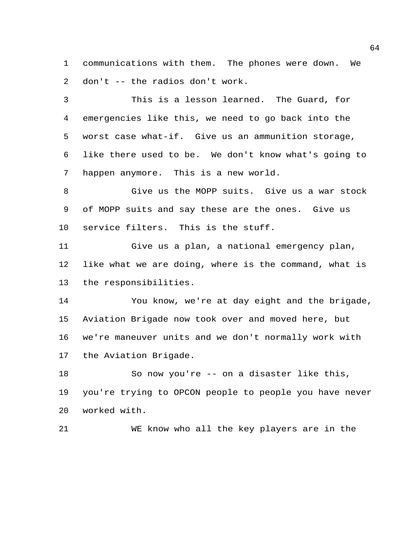communications with them. The phones were down. We don't -- the radios don't work.

 This is a lesson learned. The Guard, for emergencies like this, we need to go back into the worst case what-if. Give us an ammunition storage, like there used to be. We don't know what's going to happen anymore. This is a new world.

 Give us the MOPP suits. Give us a war stock of MOPP suits and say these are the ones. Give us service filters. This is the stuff.

 Give us a plan, a national emergency plan, like what we are doing, where is the command, what is the responsibilities.

 You know, we're at day eight and the brigade, Aviation Brigade now took over and moved here, but we're maneuver units and we don't normally work with the Aviation Brigade.

 So now you're -- on a disaster like this, you're trying to OPCON people to people you have never worked with.

WE know who all the key players are in the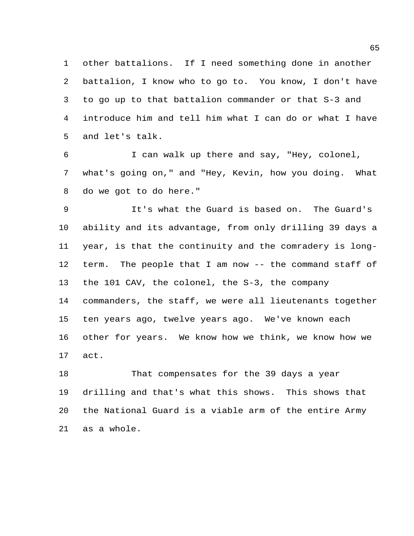other battalions. If I need something done in another battalion, I know who to go to. You know, I don't have to go up to that battalion commander or that S-3 and introduce him and tell him what I can do or what I have and let's talk.

 I can walk up there and say, "Hey, colonel, what's going on," and "Hey, Kevin, how you doing. What do we got to do here."

 It's what the Guard is based on. The Guard's ability and its advantage, from only drilling 39 days a year, is that the continuity and the comradery is long- term. The people that I am now -- the command staff of the 101 CAV, the colonel, the S-3, the company commanders, the staff, we were all lieutenants together ten years ago, twelve years ago. We've known each other for years. We know how we think, we know how we act.

 That compensates for the 39 days a year drilling and that's what this shows. This shows that the National Guard is a viable arm of the entire Army as a whole.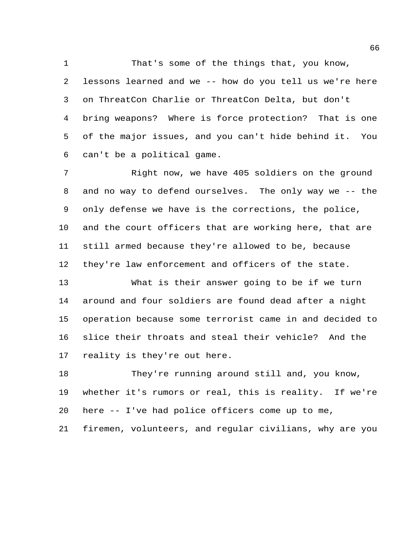That's some of the things that, you know, lessons learned and we -- how do you tell us we're here on ThreatCon Charlie or ThreatCon Delta, but don't bring weapons? Where is force protection? That is one of the major issues, and you can't hide behind it. You can't be a political game.

 Right now, we have 405 soldiers on the ground and no way to defend ourselves. The only way we -- the only defense we have is the corrections, the police, and the court officers that are working here, that are still armed because they're allowed to be, because they're law enforcement and officers of the state.

 What is their answer going to be if we turn around and four soldiers are found dead after a night operation because some terrorist came in and decided to slice their throats and steal their vehicle? And the reality is they're out here.

 They're running around still and, you know, whether it's rumors or real, this is reality. If we're here -- I've had police officers come up to me,

firemen, volunteers, and regular civilians, why are you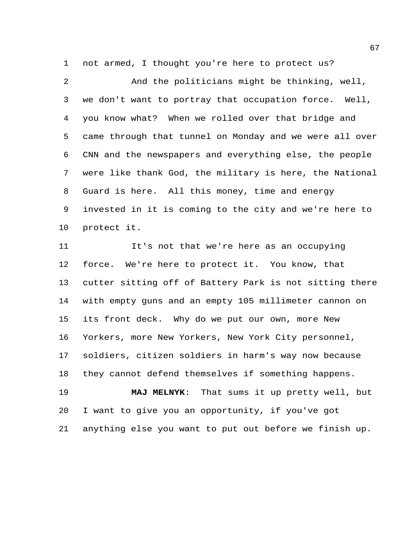not armed, I thought you're here to protect us?

 And the politicians might be thinking, well, we don't want to portray that occupation force. Well, you know what? When we rolled over that bridge and came through that tunnel on Monday and we were all over CNN and the newspapers and everything else, the people were like thank God, the military is here, the National Guard is here. All this money, time and energy invested in it is coming to the city and we're here to protect it.

 It's not that we're here as an occupying force. We're here to protect it. You know, that cutter sitting off of Battery Park is not sitting there with empty guns and an empty 105 millimeter cannon on its front deck. Why do we put our own, more New Yorkers, more New Yorkers, New York City personnel, soldiers, citizen soldiers in harm's way now because they cannot defend themselves if something happens. **MAJ MELNYK**: That sums it up pretty well, but

anything else you want to put out before we finish up.

I want to give you an opportunity, if you've got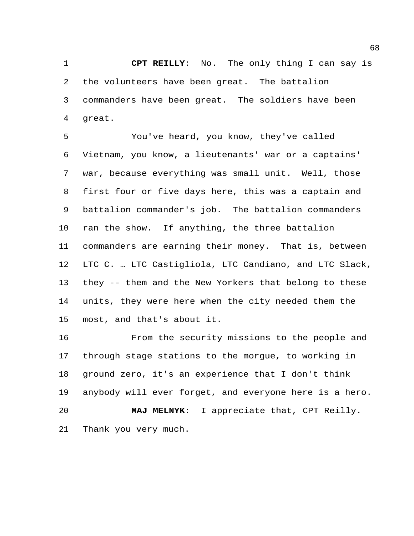**CPT REILLY**: No. The only thing I can say is the volunteers have been great. The battalion commanders have been great. The soldiers have been great.

 You've heard, you know, they've called Vietnam, you know, a lieutenants' war or a captains' war, because everything was small unit. Well, those first four or five days here, this was a captain and battalion commander's job. The battalion commanders ran the show. If anything, the three battalion commanders are earning their money. That is, between LTC C. … LTC Castigliola, LTC Candiano, and LTC Slack, they -- them and the New Yorkers that belong to these units, they were here when the city needed them the most, and that's about it.

 From the security missions to the people and through stage stations to the morgue, to working in ground zero, it's an experience that I don't think anybody will ever forget, and everyone here is a hero. **MAJ MELNYK**: I appreciate that, CPT Reilly. Thank you very much.